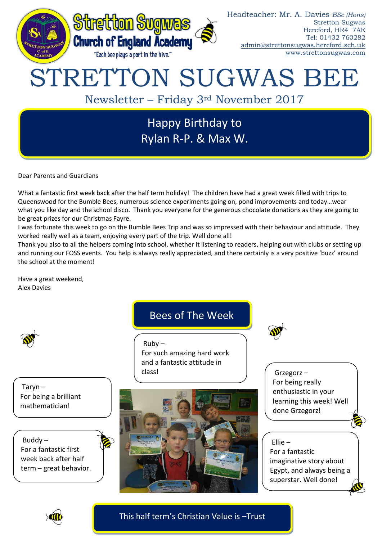

Dear Parents and Guardians

What a fantastic first week back after the half term holiday! The children have had a great week filled with trips to Queenswood for the Bumble Bees, numerous science experiments going on, pond improvements and today…wear what you like day and the school disco. Thank you everyone for the generous chocolate donations as they are going to be great prizes for our Christmas Fayre.

I was fortunate this week to go on the Bumble Bees Trip and was so impressed with their behaviour and attitude. They worked really well as a team, enjoying every part of the trip. Well done all!

Thank you also to all the helpers coming into school, whether it listening to readers, helping out with clubs or setting up and running our FOSS events. You help is always really appreciated, and there certainly is a very positive 'buzz' around the school at the moment!

Have a great weekend, Alex Davies

Taryn – For being a brilliant mathematician!

Buddy – For a fantastic first week back after half term – great behavior.

# Bees of The Week

 $Ruby -$ For such amazing hard work and a fantastic attitude in class!



Grzegorz – For being really enthusiastic in your learning this week! Well done Grzegorz!

# Ellie –

For a fantastic imaginative story about Egypt, and always being a superstar. Well done!



This half term's Christian Value is –Trust